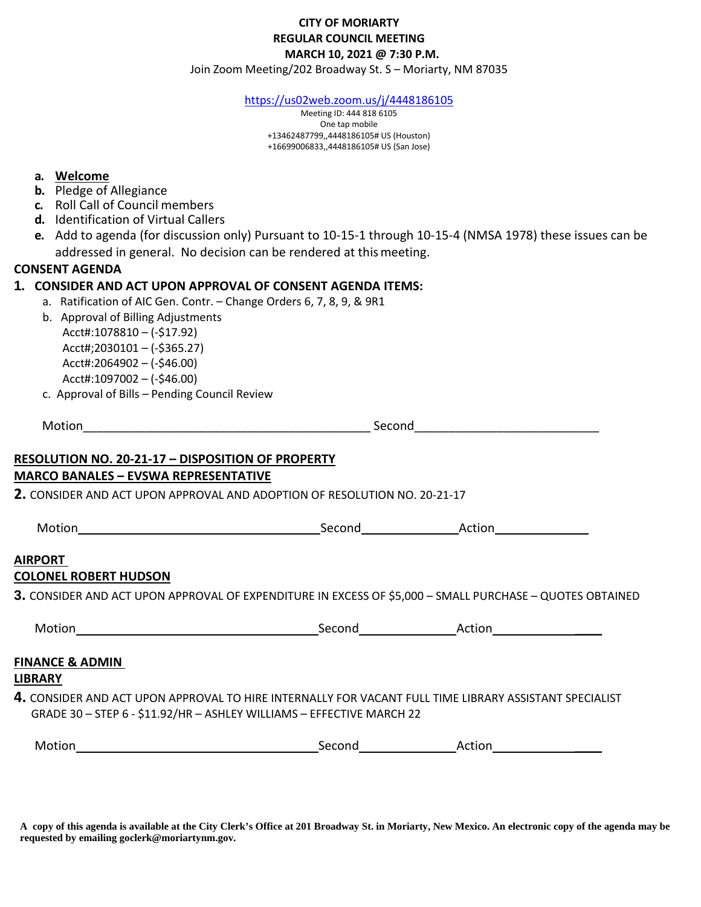## **CITY OF MORIARTY REGULAR COUNCIL MEETING MARCH 10, 2021 @ 7:30 P.M.**

Join Zoom Meeting/202 Broadway St. S – Moriarty, NM 87035

<https://us02web.zoom.us/j/4448186105>

Meeting ID: 444 818 6105 One tap mobile +13462487799,,4448186105# US (Houston) +16699006833,,4448186105# US (San Jose)

## **a. Welcome**

- **b.** Pledge of Allegiance
- **c.** Roll Call of Council members
- **d.** Identification of Virtual Callers
- **e.** Add to agenda (for discussion only) Pursuant to 10-15-1 through 10-15-4 (NMSA 1978) these issues can be addressed in general. No decision can be rendered at thismeeting.

## **CONSENT AGENDA**

## **1. CONSIDER AND ACT UPON APPROVAL OF CONSENT AGENDA ITEMS:**

- a. Ratification of AIC Gen. Contr. Change Orders 6, 7, 8, 9, & 9R1
- b. Approval of Billing Adjustments Acct#:1078810 – (-\$17.92) Acct#;2030101 – (-\$365.27) Acct#:2064902 – (-\$46.00) Acct#:1097002 – (-\$46.00)
- c. Approval of Bills Pending Council Review

| Motion                                                                                                                                                                                                                               | Second<br><u> 2008 - Jan Barnett, fransk politik (d. 1888)</u> |                      |  |  |  |
|--------------------------------------------------------------------------------------------------------------------------------------------------------------------------------------------------------------------------------------|----------------------------------------------------------------|----------------------|--|--|--|
| <b>RESOLUTION NO. 20-21-17 - DISPOSITION OF PROPERTY</b><br><b>MARCO BANALES - EVSWA REPRESENTATIVE</b>                                                                                                                              |                                                                |                      |  |  |  |
| 2. CONSIDER AND ACT UPON APPROVAL AND ADOPTION OF RESOLUTION NO. 20-21-17                                                                                                                                                            |                                                                |                      |  |  |  |
|                                                                                                                                                                                                                                      |                                                                |                      |  |  |  |
| <b>AIRPORT</b><br><b>COLONEL ROBERT HUDSON</b>                                                                                                                                                                                       |                                                                |                      |  |  |  |
| 3. CONSIDER AND ACT UPON APPROVAL OF EXPENDITURE IN EXCESS OF \$5,000 - SMALL PURCHASE - QUOTES OBTAINED                                                                                                                             |                                                                |                      |  |  |  |
| <b>FINANCE &amp; ADMIN</b><br><b>LIBRARY</b><br>4. CONSIDER AND ACT UPON APPROVAL TO HIRE INTERNALLY FOR VACANT FULL TIME LIBRARY ASSISTANT SPECIALIST<br>GRADE 30 - STEP 6 - \$11.92/HR - ASHLEY WILLIAMS - EFFECTIVE MARCH 22      |                                                                |                      |  |  |  |
| Motion <b>Exercise Service Service Service Service Service Service Service Service Service Service Service Service Service Service Service Service Service Service Service Service Service Service Service Service Service Servi</b> |                                                                | Second Action Action |  |  |  |

**A copy of this agenda is available at the City Clerk's Office at 201 Broadway St. in Moriarty, New Mexico. An electronic copy of the agenda may be requested by emailing goclerk@moriartynm.gov.**